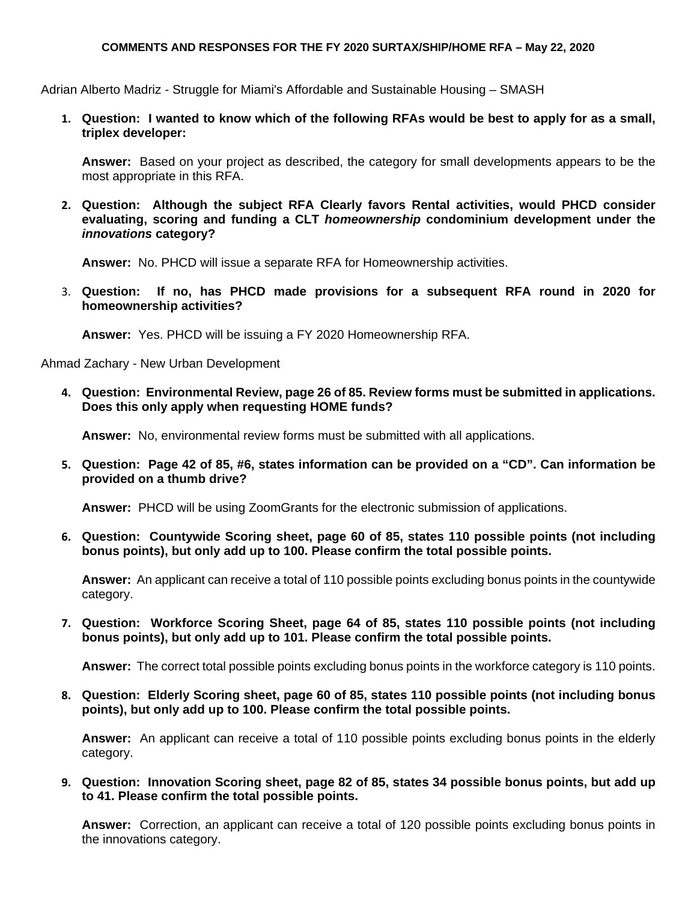#### **COMMENTS AND RESPONSES FOR THE FY 2020 SURTAX/SHIP/HOME RFA – May 22, 2020**

Adrian Alberto Madriz - Struggle for Miami's Affordable and Sustainable Housing – SMASH

**1. Question: I wanted to know which of the following RFAs would be best to apply for as a small, triplex developer:** 

**Answer:** Based on your project as described, the category for small developments appears to be the most appropriate in this RFA.

**2. Question: Although the subject RFA Clearly favors Rental activities, would PHCD consider evaluating, scoring and funding a CLT** *homeownership* **condominium development under the**  *innovations* **category?** 

**Answer:** No. PHCD will issue a separate RFA for Homeownership activities.

3. **Question: If no, has PHCD made provisions for a subsequent RFA round in 2020 for homeownership activities?** 

**Answer:** Yes. PHCD will be issuing a FY 2020 Homeownership RFA.

Ahmad Zachary - New Urban Development

**4. Question: Environmental Review, page 26 of 85. Review forms must be submitted in applications. Does this only apply when requesting HOME funds?** 

**Answer:** No, environmental review forms must be submitted with all applications.

**5. Question: Page 42 of 85, #6, states information can be provided on a "CD". Can information be provided on a thumb drive?** 

**Answer:** PHCD will be using ZoomGrants for the electronic submission of applications.

**6. Question: Countywide Scoring sheet, page 60 of 85, states 110 possible points (not including bonus points), but only add up to 100. Please confirm the total possible points.** 

**Answer:** An applicant can receive a total of 110 possible points excluding bonus points in the countywide category.

**7. Question: Workforce Scoring Sheet, page 64 of 85, states 110 possible points (not including bonus points), but only add up to 101. Please confirm the total possible points.** 

**Answer:** The correct total possible points excluding bonus points in the workforce category is 110 points.

**8. Question: Elderly Scoring sheet, page 60 of 85, states 110 possible points (not including bonus points), but only add up to 100. Please confirm the total possible points.** 

**Answer:** An applicant can receive a total of 110 possible points excluding bonus points in the elderly category.

**9. Question: Innovation Scoring sheet, page 82 of 85, states 34 possible bonus points, but add up to 41. Please confirm the total possible points.** 

**Answer:** Correction, an applicant can receive a total of 120 possible points excluding bonus points in the innovations category.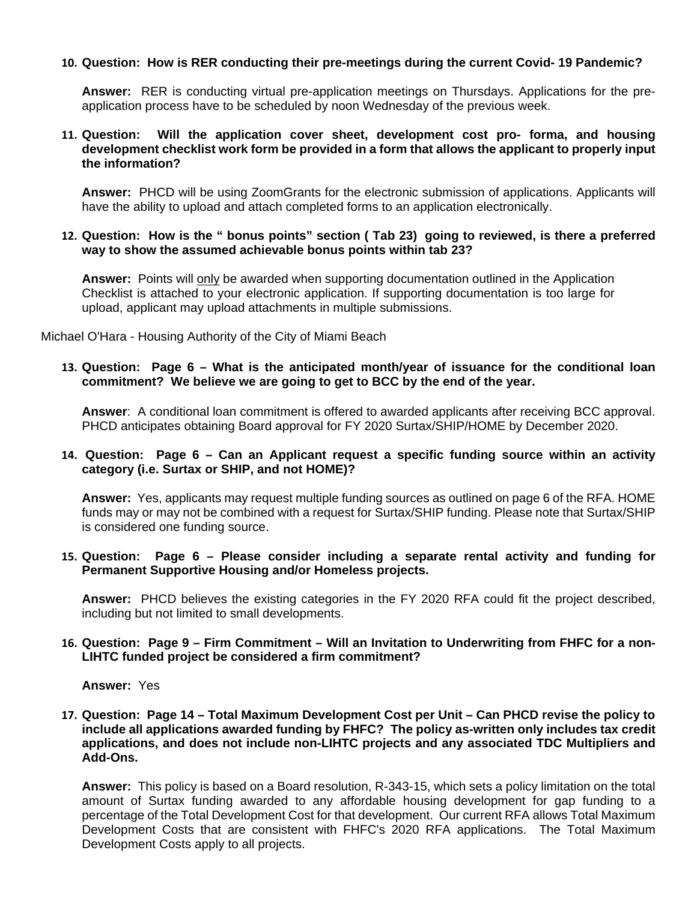# **10. Question: How is RER conducting their pre-meetings during the current Covid- 19 Pandemic?**

**Answer:** RER is conducting virtual pre-application meetings on Thursdays. Applications for the preapplication process have to be scheduled by noon Wednesday of the previous week.

# **11. Question: Will the application cover sheet, development cost pro- forma, and housing development checklist work form be provided in a form that allows the applicant to properly input the information?**

**Answer:** PHCD will be using ZoomGrants for the electronic submission of applications. Applicants will have the ability to upload and attach completed forms to an application electronically.

### **12. Question: How is the " bonus points" section ( Tab 23) going to reviewed, is there a preferred way to show the assumed achievable bonus points within tab 23?**

**Answer:** Points will only be awarded when supporting documentation outlined in the Application Checklist is attached to your electronic application. If supporting documentation is too large for upload, applicant may upload attachments in multiple submissions.

Michael O'Hara - Housing Authority of the City of Miami Beach

### **13. Question: Page 6 – What is the anticipated month/year of issuance for the conditional loan commitment? We believe we are going to get to BCC by the end of the year.**

**Answer**: A conditional loan commitment is offered to awarded applicants after receiving BCC approval. PHCD anticipates obtaining Board approval for FY 2020 Surtax/SHIP/HOME by December 2020.

### **14. Question: Page 6 – Can an Applicant request a specific funding source within an activity category (i.e. Surtax or SHIP, and not HOME)?**

**Answer:** Yes, applicants may request multiple funding sources as outlined on page 6 of the RFA. HOME funds may or may not be combined with a request for Surtax/SHIP funding. Please note that Surtax/SHIP is considered one funding source.

### **15. Question: Page 6 – Please consider including a separate rental activity and funding for Permanent Supportive Housing and/or Homeless projects.**

**Answer:** PHCD believes the existing categories in the FY 2020 RFA could fit the project described, including but not limited to small developments.

# **16. Question: Page 9 – Firm Commitment – Will an Invitation to Underwriting from FHFC for a non-LIHTC funded project be considered a firm commitment?**

**Answer:** Yes

### **17. Question: Page 14 – Total Maximum Development Cost per Unit – Can PHCD revise the policy to include all applications awarded funding by FHFC? The policy as-written only includes tax credit applications, and does not include non-LIHTC projects and any associated TDC Multipliers and Add-Ons.**

**Answer:** This policy is based on a Board resolution, R-343-15, which sets a policy limitation on the total amount of Surtax funding awarded to any affordable housing development for gap funding to a percentage of the Total Development Cost for that development. Our current RFA allows Total Maximum Development Costs that are consistent with FHFC's 2020 RFA applications. The Total Maximum Development Costs apply to all projects.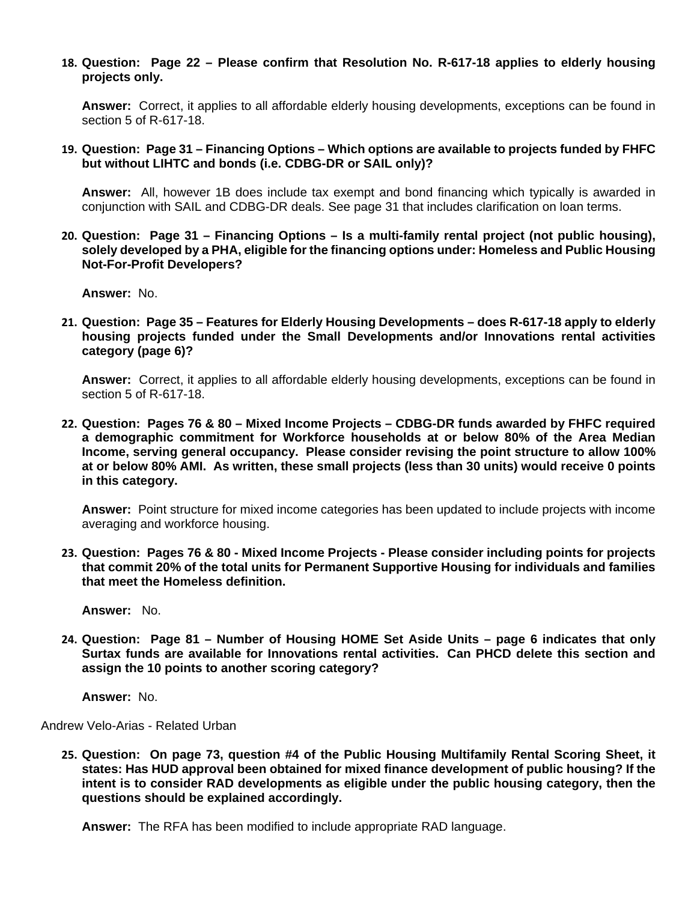### **18. Question: Page 22 – Please confirm that Resolution No. R-617-18 applies to elderly housing projects only.**

**Answer:** Correct, it applies to all affordable elderly housing developments, exceptions can be found in section 5 of R-617-18.

### **19. Question: Page 31 – Financing Options – Which options are available to projects funded by FHFC but without LIHTC and bonds (i.e. CDBG-DR or SAIL only)?**

**Answer:** All, however 1B does include tax exempt and bond financing which typically is awarded in conjunction with SAIL and CDBG-DR deals. See page 31 that includes clarification on loan terms.

**20. Question: Page 31 – Financing Options – Is a multi-family rental project (not public housing), solely developed by a PHA, eligible for the financing options under: Homeless and Public Housing Not-For-Profit Developers?** 

**Answer:** No.

**21. Question: Page 35 – Features for Elderly Housing Developments – does R-617-18 apply to elderly housing projects funded under the Small Developments and/or Innovations rental activities category (page 6)?** 

**Answer:** Correct, it applies to all affordable elderly housing developments, exceptions can be found in section 5 of R-617-18.

**22. Question: Pages 76 & 80 – Mixed Income Projects – CDBG-DR funds awarded by FHFC required a demographic commitment for Workforce households at or below 80% of the Area Median Income, serving general occupancy. Please consider revising the point structure to allow 100% at or below 80% AMI. As written, these small projects (less than 30 units) would receive 0 points in this category.** 

**Answer:** Point structure for mixed income categories has been updated to include projects with income averaging and workforce housing.

**23. Question: Pages 76 & 80 - Mixed Income Projects - Please consider including points for projects that commit 20% of the total units for Permanent Supportive Housing for individuals and families that meet the Homeless definition.** 

**Answer:** No.

**24. Question: Page 81 – Number of Housing HOME Set Aside Units – page 6 indicates that only Surtax funds are available for Innovations rental activities. Can PHCD delete this section and assign the 10 points to another scoring category?** 

**Answer:** No.

Andrew Velo-Arias - Related Urban

**25. Question: On page 73, question #4 of the Public Housing Multifamily Rental Scoring Sheet, it states: Has HUD approval been obtained for mixed finance development of public housing? If the intent is to consider RAD developments as eligible under the public housing category, then the questions should be explained accordingly.** 

**Answer:** The RFA has been modified to include appropriate RAD language.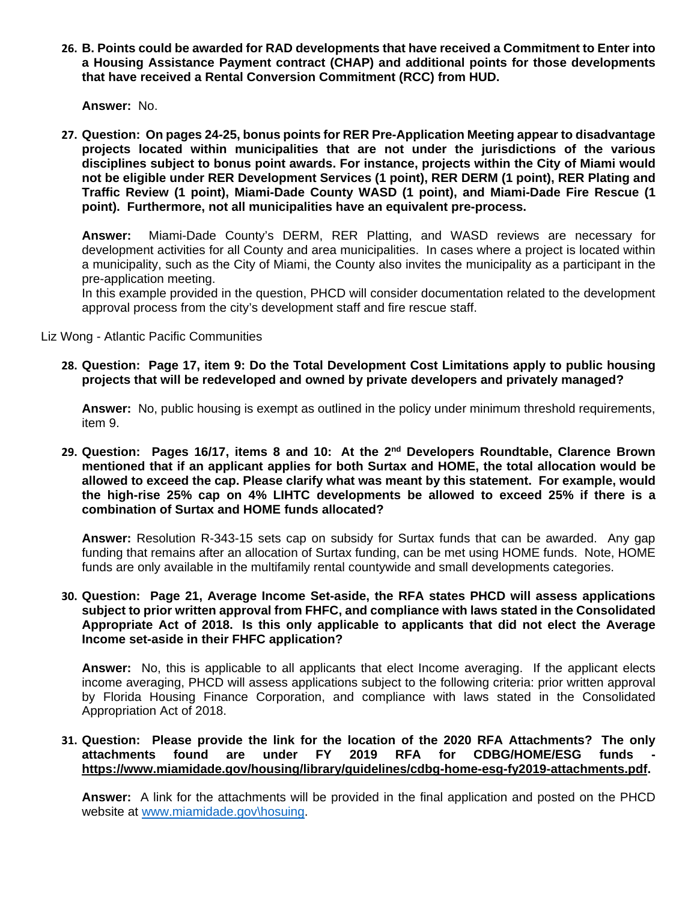**26. B. Points could be awarded for RAD developments that have received a Commitment to Enter into a Housing Assistance Payment contract (CHAP) and additional points for those developments that have received a Rental Conversion Commitment (RCC) from HUD.** 

**Answer:** No.

**27. Question: On pages 24-25, bonus points for RER Pre-Application Meeting appear to disadvantage projects located within municipalities that are not under the jurisdictions of the various disciplines subject to bonus point awards. For instance, projects within the City of Miami would not be eligible under RER Development Services (1 point), RER DERM (1 point), RER Plating and Traffic Review (1 point), Miami-Dade County WASD (1 point), and Miami-Dade Fire Rescue (1 point). Furthermore, not all municipalities have an equivalent pre-process.** 

**Answer:** Miami-Dade County's DERM, RER Platting, and WASD reviews are necessary for development activities for all County and area municipalities. In cases where a project is located within a municipality, such as the City of Miami, the County also invites the municipality as a participant in the pre-application meeting.

In this example provided in the question, PHCD will consider documentation related to the development approval process from the city's development staff and fire rescue staff.

Liz Wong - Atlantic Pacific Communities

**28. Question: Page 17, item 9: Do the Total Development Cost Limitations apply to public housing projects that will be redeveloped and owned by private developers and privately managed?** 

**Answer:** No, public housing is exempt as outlined in the policy under minimum threshold requirements, item 9.

**29. Question: Pages 16/17, items 8 and 10: At the 2nd Developers Roundtable, Clarence Brown mentioned that if an applicant applies for both Surtax and HOME, the total allocation would be allowed to exceed the cap. Please clarify what was meant by this statement. For example, would the high-rise 25% cap on 4% LIHTC developments be allowed to exceed 25% if there is a combination of Surtax and HOME funds allocated?** 

**Answer:** Resolution R-343-15 sets cap on subsidy for Surtax funds that can be awarded. Any gap funding that remains after an allocation of Surtax funding, can be met using HOME funds. Note, HOME funds are only available in the multifamily rental countywide and small developments categories.

# **30. Question: Page 21, Average Income Set-aside, the RFA states PHCD will assess applications subject to prior written approval from FHFC, and compliance with laws stated in the Consolidated Appropriate Act of 2018. Is this only applicable to applicants that did not elect the Average Income set-aside in their FHFC application?**

**Answer:** No, this is applicable to all applicants that elect Income averaging. If the applicant elects income averaging, PHCD will assess applications subject to the following criteria: prior written approval by Florida Housing Finance Corporation, and compliance with laws stated in the Consolidated Appropriation Act of 2018.

**31. Question: Please provide the link for the location of the 2020 RFA Attachments? The only**  attachments found are under FY 2019 RFA for CDBG/HOME/ESG funds **https://www.miamidade.gov/housing/library/guidelines/cdbg-home-esg-fy2019-attachments.pdf.** 

**Answer:** A link for the attachments will be provided in the final application and posted on the PHCD website at www.miamidade.gov\hosuing.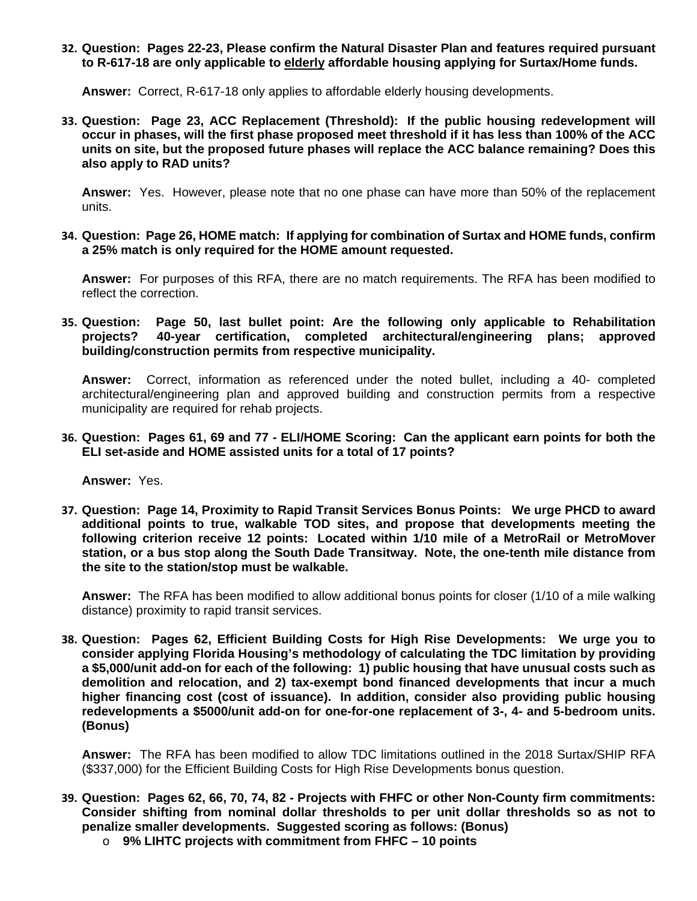**32. Question: Pages 22-23, Please confirm the Natural Disaster Plan and features required pursuant to R-617-18 are only applicable to elderly affordable housing applying for Surtax/Home funds.** 

**Answer:** Correct, R-617-18 only applies to affordable elderly housing developments.

**33. Question: Page 23, ACC Replacement (Threshold): If the public housing redevelopment will occur in phases, will the first phase proposed meet threshold if it has less than 100% of the ACC units on site, but the proposed future phases will replace the ACC balance remaining? Does this also apply to RAD units?** 

**Answer:** Yes. However, please note that no one phase can have more than 50% of the replacement units.

**34. Question: Page 26, HOME match: If applying for combination of Surtax and HOME funds, confirm a 25% match is only required for the HOME amount requested.** 

**Answer:** For purposes of this RFA, there are no match requirements. The RFA has been modified to reflect the correction.

**35. Question: Page 50, last bullet point: Are the following only applicable to Rehabilitation projects? 40-year certification, completed architectural/engineering plans; approved building/construction permits from respective municipality.** 

**Answer:** Correct, information as referenced under the noted bullet, including a 40- completed architectural/engineering plan and approved building and construction permits from a respective municipality are required for rehab projects.

**36. Question: Pages 61, 69 and 77 - ELI/HOME Scoring: Can the applicant earn points for both the ELI set-aside and HOME assisted units for a total of 17 points?** 

**Answer:** Yes.

**37. Question: Page 14, Proximity to Rapid Transit Services Bonus Points: We urge PHCD to award additional points to true, walkable TOD sites, and propose that developments meeting the following criterion receive 12 points: Located within 1/10 mile of a MetroRail or MetroMover station, or a bus stop along the South Dade Transitway. Note, the one-tenth mile distance from the site to the station/stop must be walkable.** 

**Answer:** The RFA has been modified to allow additional bonus points for closer (1/10 of a mile walking distance) proximity to rapid transit services.

**38. Question: Pages 62, Efficient Building Costs for High Rise Developments: We urge you to consider applying Florida Housing's methodology of calculating the TDC limitation by providing a \$5,000/unit add-on for each of the following: 1) public housing that have unusual costs such as demolition and relocation, and 2) tax-exempt bond financed developments that incur a much higher financing cost (cost of issuance). In addition, consider also providing public housing redevelopments a \$5000/unit add-on for one-for-one replacement of 3-, 4- and 5-bedroom units. (Bonus)** 

**Answer:** The RFA has been modified to allow TDC limitations outlined in the 2018 Surtax/SHIP RFA (\$337,000) for the Efficient Building Costs for High Rise Developments bonus question.

- **39. Question: Pages 62, 66, 70, 74, 82 Projects with FHFC or other Non-County firm commitments: Consider shifting from nominal dollar thresholds to per unit dollar thresholds so as not to penalize smaller developments. Suggested scoring as follows: (Bonus)** 
	- o **9% LIHTC projects with commitment from FHFC 10 points**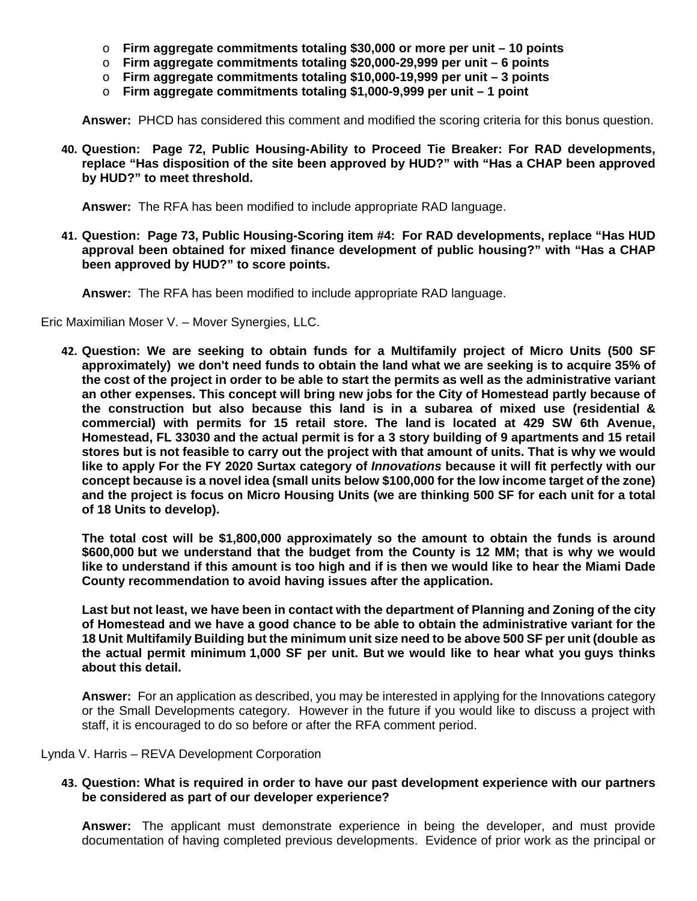- o **Firm aggregate commitments totaling \$30,000 or more per unit 10 points**
- o **Firm aggregate commitments totaling \$20,000-29,999 per unit 6 points**
- o **Firm aggregate commitments totaling \$10,000-19,999 per unit 3 points**
- o **Firm aggregate commitments totaling \$1,000-9,999 per unit 1 point**

**Answer:** PHCD has considered this comment and modified the scoring criteria for this bonus question.

**40. Question: Page 72, Public Housing-Ability to Proceed Tie Breaker: For RAD developments, replace "Has disposition of the site been approved by HUD?" with "Has a CHAP been approved by HUD?" to meet threshold.** 

**Answer:** The RFA has been modified to include appropriate RAD language.

**41. Question: Page 73, Public Housing-Scoring item #4: For RAD developments, replace "Has HUD approval been obtained for mixed finance development of public housing?" with "Has a CHAP been approved by HUD?" to score points.** 

**Answer:** The RFA has been modified to include appropriate RAD language.

Eric Maximilian Moser V. – Mover Synergies, LLC.

**42. Question: We are seeking to obtain funds for a Multifamily project of Micro Units (500 SF approximately) we don't need funds to obtain the land what we are seeking is to acquire 35% of the cost of the project in order to be able to start the permits as well as the administrative variant an other expenses. This concept will bring new jobs for the City of Homestead partly because of the construction but also because this land is in a subarea of mixed use (residential & commercial) with permits for 15 retail store. The land is located at 429 SW 6th Avenue, Homestead, FL 33030 and the actual permit is for a 3 story building of 9 apartments and 15 retail stores but is not feasible to carry out the project with that amount of units. That is why we would like to apply For the FY 2020 Surtax category of** *Innovations* **because it will fit perfectly with our concept because is a novel idea (small units below \$100,000 for the low income target of the zone) and the project is focus on Micro Housing Units (we are thinking 500 SF for each unit for a total of 18 Units to develop).** 

**The total cost will be \$1,800,000 approximately so the amount to obtain the funds is around \$600,000 but we understand that the budget from the County is 12 MM; that is why we would like to understand if this amount is too high and if is then we would like to hear the Miami Dade County recommendation to avoid having issues after the application.** 

**Last but not least, we have been in contact with the department of Planning and Zoning of the city of Homestead and we have a good chance to be able to obtain the administrative variant for the 18 Unit Multifamily Building but the minimum unit size need to be above 500 SF per unit (double as the actual permit minimum 1,000 SF per unit. But we would like to hear what you guys thinks about this detail.** 

**Answer:** For an application as described, you may be interested in applying for the Innovations category or the Small Developments category. However in the future if you would like to discuss a project with staff, it is encouraged to do so before or after the RFA comment period.

### Lynda V. Harris – REVA Development Corporation

### **43. Question: What is required in order to have our past development experience with our partners be considered as part of our developer experience?**

**Answer:** The applicant must demonstrate experience in being the developer, and must provide documentation of having completed previous developments. Evidence of prior work as the principal or